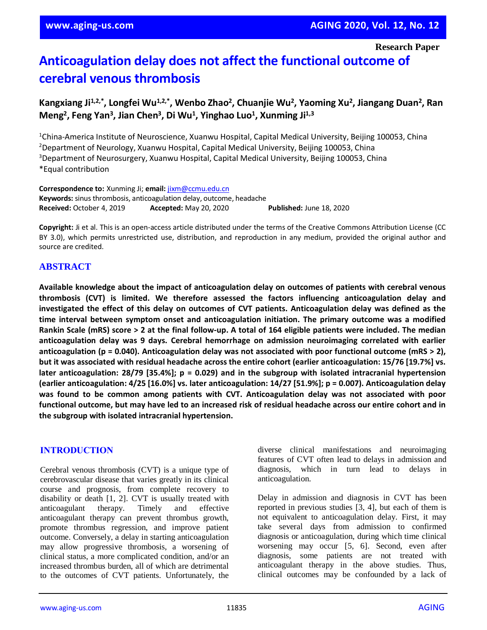# **Anticoagulation delay does not affect the functional outcome of cerebral venous thrombosis**

# **Kangxiang Ji1,2,\* , Longfei Wu1,2,\* , Wenbo Zhao<sup>2</sup> , Chuanjie Wu<sup>2</sup> , Yaoming Xu<sup>2</sup> , Jiangang Duan<sup>2</sup> , Ran Meng<sup>2</sup> , Feng Yan<sup>3</sup> , Jian Chen<sup>3</sup> , Di Wu<sup>1</sup> , Yinghao Luo<sup>1</sup> , Xunming Ji1,3**

<sup>1</sup>China-America Institute of Neuroscience, Xuanwu Hospital, Capital Medical University, Beijing 100053, China <sup>2</sup>Department of Neurology, Xuanwu Hospital, Capital Medical University, Beijing 100053, China <sup>3</sup>Department of Neurosurgery, Xuanwu Hospital, Capital Medical University, Beijing 100053, China \*Equal contribution

**Correspondence to:** Xunming Ji; **email:** [jixm@ccmu.edu.cn](mailto:jixm@ccmu.edu.cn) **Keywords:** sinus thrombosis, anticoagulation delay, outcome, headache **Received:** October 4, 2019 **Accepted:** May 20, 2020 **Published:** June 18, 2020

**Copyright:** Ji et al. This is an open-access article distributed under the terms of the Creative Commons Attribution License (CC BY 3.0), which permits unrestricted use, distribution, and reproduction in any medium, provided the original author and source are credited.

# **ABSTRACT**

**Available knowledge about the impact of anticoagulation delay on outcomes of patients with cerebral venous thrombosis (CVT) is limited. We therefore assessed the factors influencing anticoagulation delay and** investigated the effect of this delay on outcomes of CVT patients. Anticoagulation delay was defined as the **time interval between symptom onset and anticoagulation initiation. The primary outcome was a modified** Rankin Scale (mRS) score > 2 at the final follow-up. A total of 164 eligible patients were included. The median **anticoagulation delay was 9 days. Cerebral hemorrhage on admission neuroimaging correlated with earlier anticoagulation (p = 0.040). Anticoagulation delay was not associated with poor functional outcome (mRS > 2),** but it was associated with residual headache across the entire cohort (earlier anticoagulation: 15/76 [19.7%] vs. **later anticoagulation: 28/79 [35.4%]; p = 0.029) and in the subgroup with isolated intracranial hypertension (earlier anticoagulation: 4/25 [16.0%] vs. later anticoagulation: 14/27 [51.9%]; p = 0.007). Anticoagulation delay was found to be common among patients with CVT. Anticoagulation delay was not associated with poor** functional outcome, but may have led to an increased risk of residual headache across our entire cohort and in **the subgroup with isolated intracranial hypertension.**

#### **INTRODUCTION**

Cerebral venous thrombosis (CVT) is a unique type of cerebrovascular disease that varies greatly in its clinical course and prognosis, from complete recovery to disability or death [1, 2]. CVT is usually treated with anticoagulant therapy. Timely and effective anticoagulant therapy can prevent thrombus growth, promote thrombus regression, and improve patient outcome. Conversely, a delay in starting anticoagulation may allow progressive thrombosis, a worsening of clinical status, a more complicated condition, and/or an increased thrombus burden, all of which are detrimental to the outcomes of CVT patients. Unfortunately, the diverse clinical manifestations and neuroimaging features of CVT often lead to delays in admission and diagnosis, which in turn lead to delays in anticoagulation.

Delay in admission and diagnosis in CVT has been reported in previous studies [3, 4], but each of them is not equivalent to anticoagulation delay. First, it may take several days from admission to confirmed diagnosis or anticoagulation, during which time clinical worsening may occur [5, 6]. Second, even after diagnosis, some patients are not treated with anticoagulant therapy in the above studies. Thus, clinical outcomes may be confounded by a lack of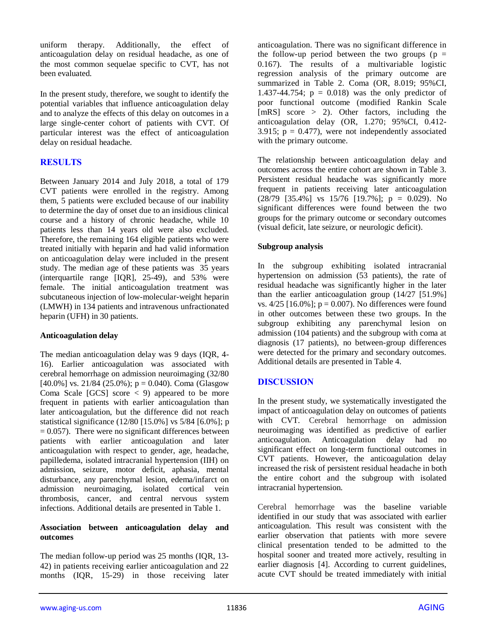uniform therapy. Additionally, the effect of anticoagulation delay on residual headache, as one of the most common sequelae specific to CVT, has not been evaluated.

In the present study, therefore, we sought to identify the potential variables that influence anticoagulation delay and to analyze the effects of this delay on outcomes in a large single-center cohort of patients with CVT. Of particular interest was the effect of anticoagulation delay on residual headache.

# **RESULTS**

Between January 2014 and July 2018, a total of 179 CVT patients were enrolled in the registry. Among them, 5 patients were excluded because of our inability to determine the day of onset due to an insidious clinical course and a history of chronic headache, while 10 patients less than 14 years old were also excluded. Therefore, the remaining 164 eligible patients who were treated initially with heparin and had valid information on anticoagulation delay were included in the present study. The median age of these patients was 35 years (interquartile range [IQR], 25-49), and 53% were female. The initial anticoagulation treatment was subcutaneous injection of low-molecular-weight heparin (LMWH) in 134 patients and intravenous unfractionated heparin (UFH) in 30 patients.

#### **Anticoagulation delay**

The median anticoagulation delay was 9 days (IQR, 4- 16). Earlier anticoagulation was associated with cerebral hemorrhage on admission neuroimaging (32/80 [40.0%] vs. 21/84 (25.0%);  $p = 0.040$ ). Coma (Glasgow Coma Scale  $[GCS]$  score  $\lt 9$  appeared to be more frequent in patients with earlier anticoagulation than later anticoagulation, but the difference did not reach statistical significance (12/80 [15.0%] vs 5/84 [6.0%]; p  $= 0.057$ ). There were no significant differences between patients with earlier anticoagulation and later anticoagulation with respect to gender, age, headache, papilledema, isolated intracranial hypertension (IIH) on admission, seizure, motor deficit, aphasia, mental disturbance, any parenchymal lesion, edema/infarct on admission neuroimaging, isolated cortical vein thrombosis, cancer, and central nervous system infections. Additional details are presented in Table 1.

#### **Association between anticoagulation delay and outcomes**

The median follow-up period was 25 months (IQR, 13- 42) in patients receiving earlier anticoagulation and 22 months (IQR, 15-29) in those receiving later anticoagulation. There was no significant difference in the follow-up period between the two groups ( $p =$ 0.167). The results of a multivariable logistic regression analysis of the primary outcome are summarized in Table 2. Coma (OR, 8.019; 95%CI, 1.437-44.754;  $p = 0.018$ ) was the only predictor of poor functional outcome (modified Rankin Scale [mRS] score > 2). Other factors, including the anticoagulation delay (OR, 1.270; 95%CI, 0.412- 3.915;  $p = 0.477$ ), were not independently associated with the primary outcome.

The relationship between anticoagulation delay and outcomes across the entire cohort are shown in Table 3. Persistent residual headache was significantly more frequent in patients receiving later anticoagulation  $(28/79 \mid 35.4\% \mid \text{vs} \mid 15/76 \mid 19.7\% \mid; \text{p} = 0.029)$ . No significant differences were found between the two groups for the primary outcome or secondary outcomes (visual deficit, late seizure, or neurologic deficit).

#### **Subgroup analysis**

In the subgroup exhibiting isolated intracranial hypertension on admission (53 patients), the rate of residual headache was significantly higher in the later than the earlier anticoagulation group (14/27 [51.9%] vs.  $4/25$  [16.0%]; p = 0.007). No differences were found in other outcomes between these two groups. In the subgroup exhibiting any parenchymal lesion on admission (104 patients) and the subgroup with coma at diagnosis (17 patients), no between-group differences were detected for the primary and secondary outcomes. Additional details are presented in Table 4.

# **DISCUSSION**

In the present study, we systematically investigated the impact of anticoagulation delay on outcomes of patients with CVT. Cerebral hemorrhage on admission neuroimaging was identified as predictive of earlier anticoagulation. Anticoagulation delay had no significant effect on long-term functional outcomes in CVT patients. However, the anticoagulation delay increased the risk of persistent residual headache in both the entire cohort and the subgroup with isolated intracranial hypertension.

Cerebral hemorrhage was the baseline variable identified in our study that was associated with earlier anticoagulation. This result was consistent with the earlier observation that patients with more severe clinical presentation tended to be admitted to the hospital sooner and treated more actively, resulting in earlier diagnosis [4]. According to current guidelines, acute CVT should be treated immediately with initial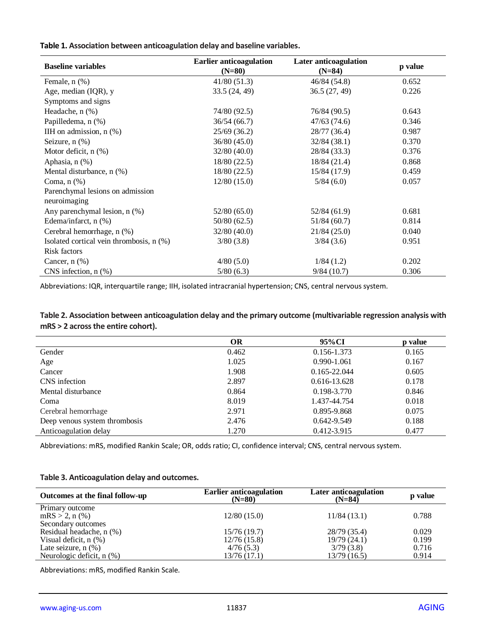|  |  |  |  | Table 1. Association between anticoagulation delay and baseline variables. |
|--|--|--|--|----------------------------------------------------------------------------|
|--|--|--|--|----------------------------------------------------------------------------|

| <b>Baseline variables</b>                        | <b>Earlier anticoagulation</b><br>$(N=80)$ | Later anticoagulation<br>$(N=84)$ | p value |
|--------------------------------------------------|--------------------------------------------|-----------------------------------|---------|
| Female, n (%)                                    | 41/80(51.3)                                | 46/84 (54.8)                      | 0.652   |
| Age, median (IQR), y                             | 33.5(24, 49)                               | 36.5(27, 49)                      | 0.226   |
| Symptoms and signs                               |                                            |                                   |         |
| Headache, n (%)                                  | 74/80 (92.5)                               | 76/84 (90.5)                      | 0.643   |
| Papilledema, n (%)                               | 36/54(66.7)                                | 47/63(74.6)                       | 0.346   |
| IIH on admission, $n$ $(\%)$                     | 25/69(36.2)                                | 28/77 (36.4)                      | 0.987   |
| Seizure, $n$ $(\%)$                              | 36/80(45.0)                                | 32/84(38.1)                       | 0.370   |
| Motor deficit, $n$ $(\%)$                        | 32/80(40.0)                                | 28/84 (33.3)                      | 0.376   |
| Aphasia, n (%)                                   | 18/80(22.5)                                | 18/84 (21.4)                      | 0.868   |
| Mental disturbance, n (%)                        | 18/80 (22.5)                               | 15/84 (17.9)                      | 0.459   |
| Coma, $n$ $(\%)$                                 | 12/80(15.0)                                | 5/84(6.0)                         | 0.057   |
| Parenchymal lesions on admission<br>neuroimaging |                                            |                                   |         |
| Any parenchymal lesion, n (%)                    | 52/80(65.0)                                | 52/84 (61.9)                      | 0.681   |
| Edema/infarct, n (%)                             | 50/80(62.5)                                | 51/84(60.7)                       | 0.814   |
| Cerebral hemorrhage, n (%)                       | 32/80(40.0)                                | 21/84(25.0)                       | 0.040   |
| Isolated cortical vein thrombosis, n (%)         | 3/80(3.8)                                  | 3/84(3.6)                         | 0.951   |
| Risk factors                                     |                                            |                                   |         |
| Cancer, $n$ $(\%)$                               | 4/80(5.0)                                  | 1/84(1.2)                         | 0.202   |
| CNS infection, $n$ $%$ )                         | 5/80(6.3)                                  | 9/84(10.7)                        | 0.306   |

Abbreviations: IQR, interquartile range; IIH, isolated intracranial hypertension; CNS, central nervous system.

**Table 2. Association between anticoagulation delay and the primary outcome (multivariable regression analysis with mRS > 2 across the entire cohort).**

|                               | <b>OR</b> | 95% CI           | p value |
|-------------------------------|-----------|------------------|---------|
| Gender                        | 0.462     | 0.156-1.373      | 0.165   |
| Age                           | 1.025     | 0.990-1.061      | 0.167   |
| Cancer                        | 1.908     | $0.165 - 22.044$ | 0.605   |
| CNS infection                 | 2.897     | $0.616 - 13.628$ | 0.178   |
| Mental disturbance            | 0.864     | 0.198-3.770      | 0.846   |
| Coma                          | 8.019     | 1.437-44.754     | 0.018   |
| Cerebral hemorrhage           | 2.971     | 0.895-9.868      | 0.075   |
| Deep venous system thrombosis | 2.476     | 0.642-9.549      | 0.188   |
| Anticoagulation delay         | 1.270     | 0.412-3.915      | 0.477   |
|                               |           |                  |         |

Abbreviations: mRS, modified Rankin Scale; OR, odds ratio; CI, confidence interval; CNS, central nervous system.

#### **Table 3. Anticoagulation delay and outcomes.**

| Outcomes at the final follow-up | <b>Earlier anticoagulation</b><br>$(N=80)$ | Later anticoagulation<br>$(N=84)$ | p value |
|---------------------------------|--------------------------------------------|-----------------------------------|---------|
| Primary outcome                 |                                            |                                   |         |
| $mRS > 2, n$ (%)                | 12/80(15.0)                                | 11/84(13.1)                       | 0.788   |
| Secondary outcomes              |                                            |                                   |         |
| Residual headache, n (%)        | 15/76(19.7)                                | 28/79 (35.4)                      | 0.029   |
| Visual deficit, $n$ $(\%)$      | 12/76(15.8)                                | 19/79 (24.1)                      | 0.199   |
| Late seizure, $n$ $(\%)$        | 4/76(5.3)                                  | 3/79(3.8)                         | 0.716   |
| Neurologic deficit, $n$ $(\%)$  | 13/76(17.1)                                | 13/79 (16.5)                      | 0.914   |

Abbreviations: mRS, modified Rankin Scale.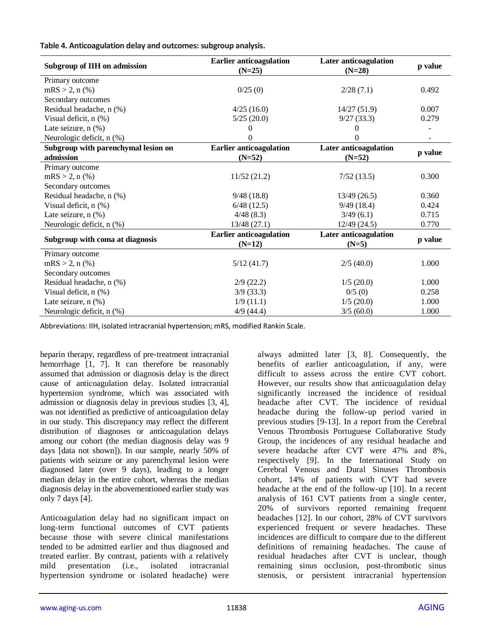**Table 4. Anticoagulation delay and outcomes: subgroup analysis.**

| Subgroup of IIH on admission        | <b>Earlier anticoagulation</b><br>$(N=25)$ | Later anticoagulation<br>$(N=28)$ | p value |  |
|-------------------------------------|--------------------------------------------|-----------------------------------|---------|--|
| Primary outcome                     |                                            |                                   |         |  |
| $mRS > 2, n$ (%)                    | 0/25(0)                                    | 2/28(7.1)                         | 0.492   |  |
| Secondary outcomes                  |                                            |                                   |         |  |
| Residual headache, n (%)            | 4/25(16.0)                                 | 14/27(51.9)                       | 0.007   |  |
| Visual deficit, n (%)               | 5/25(20.0)                                 | 9/27(33.3)                        | 0.279   |  |
| Late seizure, $n$ $(\%)$            | $\theta$                                   |                                   |         |  |
| Neurologic deficit, n (%)           | 0                                          | $\theta$                          |         |  |
| Subgroup with parenchymal lesion on | <b>Earlier anticoagulation</b>             | Later anticoagulation             |         |  |
| admission                           | $(N=52)$                                   | $(N=52)$                          | p value |  |
| Primary outcome                     |                                            |                                   |         |  |
| $mRS > 2, n$ (%)                    | 11/52(21.2)                                | 7/52(13.5)                        | 0.300   |  |
| Secondary outcomes                  |                                            |                                   |         |  |
| Residual headache, n (%)            | 9/48(18.8)                                 | 13/49(26.5)                       | 0.360   |  |
| Visual deficit, $n$ $(\%)$          | 6/48(12.5)                                 | 9/49(18.4)                        | 0.424   |  |
| Late seizure, $n$ $(\%)$            | 4/48(8.3)                                  | 3/49(6.1)                         | 0.715   |  |
| Neurologic deficit, n (%)           | 13/48(27.1)                                | 12/49(24.5)                       | 0.770   |  |
|                                     | <b>Earlier anticoagulation</b>             | Later anticoagulation             |         |  |
| Subgroup with coma at diagnosis     | $(N=12)$                                   | $(N=5)$                           | p value |  |
| Primary outcome                     |                                            |                                   |         |  |
| $mRS > 2, n$ (%)                    | 5/12(41.7)                                 | 2/5(40.0)                         | 1.000   |  |
| Secondary outcomes                  |                                            |                                   |         |  |
| Residual headache, n (%)            | $2/9$ (22.2)                               | 1/5(20.0)                         | 1.000   |  |
| Visual deficit, n (%)               | $3/9$ (33.3)                               | 0/5(0)                            | 0.258   |  |
| Late seizure, $n$ $(\%)$            | 1/9(11.1)                                  | 1/5(20.0)                         | 1.000   |  |
| Neurologic deficit, n (%)           | $4/9$ (44.4)                               | 3/5(60.0)                         | 1.000   |  |

Abbreviations: IIH, isolated intracranial hypertension; mRS, modified Rankin Scale.

heparin therapy, regardless of pre-treatment intracranial hemorrhage [1, 7]. It can therefore be reasonably assumed that admission or diagnosis delay is the direct cause of anticoagulation delay. Isolated intracranial hypertension syndrome, which was associated with admission or diagnosis delay in previous studies [3, 4], was not identified as predictive of anticoagulation delay in our study. This discrepancy may reflect the different distribution of diagnoses or anticoagulation delays among our cohort (the median diagnosis delay was 9 days [data not shown]). In our sample, nearly 50% of patients with seizure or any parenchymal lesion were diagnosed later (over 9 days), leading to a longer median delay in the entire cohort, whereas the median diagnosis delay in the abovementioned earlier study was only 7 days [4].

Anticoagulation delay had no significant impact on long-term functional outcomes of CVT patients because those with severe clinical manifestations tended to be admitted earlier and thus diagnosed and treated earlier. By contrast, patients with a relatively mild presentation (i.e., isolated intracranial hypertension syndrome or isolated headache) were always admitted later [3, 8]. Consequently, the benefits of earlier anticoagulation, if any, were difficult to assess across the entire CVT cohort. However, our results show that anticoagulation delay significantly increased the incidence of residual headache after CVT. The incidence of residual headache during the follow-up period varied in previous studies [9-13]. In a report from the Cerebral Venous Thrombosis Portuguese Collaborative Study Group, the incidences of any residual headache and severe headache after CVT were 47% and 8%, respectively [9]. In the International Study on Cerebral Venous and Dural Sinuses Thrombosis cohort, 14% of patients with CVT had severe headache at the end of the follow-up [10]. In a recent analysis of 161 CVT patients from a single center, 20% of survivors reported remaining frequent headaches [12]. In our cohort, 28% of CVT survivors experienced frequent or severe headaches. These incidences are difficult to compare due to the different definitions of remaining headaches. The cause of residual headaches after CVT is unclear, though remaining sinus occlusion, post-thrombotic sinus stenosis, or persistent intracranial hypertension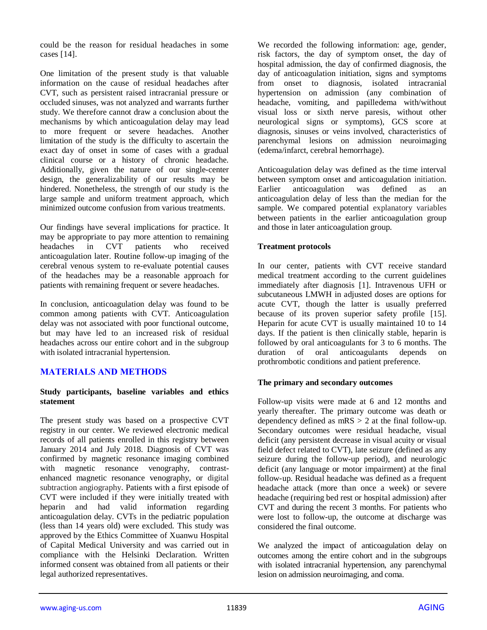could be the reason for residual headaches in some cases [14].

One limitation of the present study is that valuable information on the cause of residual headaches after CVT, such as persistent raised intracranial pressure or occluded sinuses, was not analyzed and warrants further study. We therefore cannot draw a conclusion about the mechanisms by which anticoagulation delay may lead to more frequent or severe headaches. Another limitation of the study is the difficulty to ascertain the exact day of onset in some of cases with a gradual clinical course or a history of chronic headache. Additionally, given the nature of our single-center design, the generalizability of our results may be hindered. Nonetheless, the strength of our study is the large sample and uniform treatment approach, which minimized outcome confusion from various treatments.

Our findings have several implications for practice. It may be appropriate to pay more attention to remaining<br>headaches in CVT patients who received headaches in CVT patients who received anticoagulation later. Routine follow-up imaging of the cerebral venous system to re-evaluate potential causes of the headaches may be a reasonable approach for patients with remaining frequent or severe headaches.

In conclusion, anticoagulation delay was found to be common among patients with CVT. Anticoagulation delay was not associated with poor functional outcome, but may have led to an increased risk of residual headaches across our entire cohort and in the subgroup with isolated intracranial hypertension.

# **MATERIALS AND METHODS**

#### **Study participants, baseline variables and ethics statement**

The present study was based on a prospective CVT registry in our center. We reviewed electronic medical records of all patients enrolled in this registry between January 2014 and July 2018. Diagnosis of CVT was confirmed by magnetic resonance imaging combined with magnetic resonance venography, contrastenhanced magnetic resonance venography, or digital subtraction angiography. Patients with a first episode of CVT were included if they were initially treated with heparin and had valid information regarding anticoagulation delay. CVTs in the pediatric population (less than 14 years old) were excluded. This study was approved by the Ethics Committee of Xuanwu Hospital of Capital Medical University and was carried out in compliance with the Helsinki Declaration. Written informed consent was obtained from all patients or their legal authorized representatives.

We recorded the following information: age, gender, risk factors, the day of symptom onset, the day of hospital admission, the day of confirmed diagnosis, the day of anticoagulation initiation, signs and symptoms from onset to diagnosis, isolated intracranial hypertension on admission (any combination of headache, vomiting, and papilledema with/without visual loss or sixth nerve paresis, without other neurological signs or symptoms), GCS score at diagnosis, sinuses or veins involved, characteristics of parenchymal lesions on admission neuroimaging (edema/infarct, cerebral hemorrhage).

Anticoagulation delay was defined as the time interval between symptom onset and anticoagulation initiation. Earlier anticoagulation was defined as an anticoagulation delay of less than the median for the sample. We compared potential explanatory variables between patients in the earlier anticoagulation group and those in later anticoagulation group.

#### **Treatment protocols**

In our center, patients with CVT receive standard medical treatment according to the current guidelines immediately after diagnosis [1]. Intravenous UFH or subcutaneous LMWH in adjusted doses are options for acute CVT, though the latter is usually preferred because of its proven superior safety profile [15]. Heparin for acute CVT is usually maintained 10 to 14 days. If the patient is then clinically stable, heparin is followed by oral anticoagulants for 3 to 6 months. The duration of oral anticoagulants depends on prothrombotic conditions and patient preference.

#### **The primary and secondary outcomes**

Follow-up visits were made at 6 and 12 months and yearly thereafter. The primary outcome was death or dependency defined as  $mRS > 2$  at the final follow-up. Secondary outcomes were residual headache, visual deficit (any persistent decrease in visual acuity or visual field defect related to CVT), late seizure (defined as any seizure during the follow-up period), and neurologic deficit (any language or motor impairment) at the final follow-up. Residual headache was defined as a frequent headache attack (more than once a week) or severe headache (requiring bed rest or hospital admission) after CVT and during the recent 3 months. For patients who were lost to follow-up, the outcome at discharge was considered the final outcome.

We analyzed the impact of anticoagulation delay on outcomes among the entire cohort and in the subgroups with isolated intracranial hypertension, any parenchymal lesion on admission neuroimaging, and coma.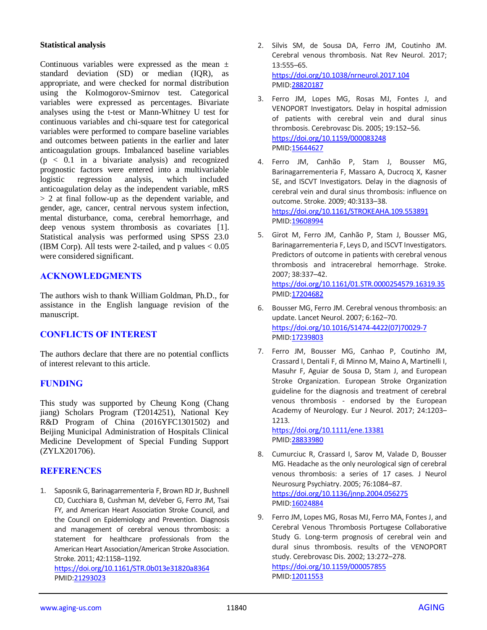#### **Statistical analysis**

Continuous variables were expressed as the mean  $\pm$ standard deviation (SD) or median (IQR), as appropriate, and were checked for normal distribution using the Kolmogorov-Smirnov test. Categorical variables were expressed as percentages. Bivariate analyses using the t-test or Mann-Whitney U test for continuous variables and chi-square test for categorical variables were performed to compare baseline variables and outcomes between patients in the earlier and later anticoagulation groups. Imbalanced baseline variables  $(p < 0.1$  in a bivariate analysis) and recognized prognostic factors were entered into a multivariable logistic regression analysis, which included anticoagulation delay as the independent variable, mRS > 2 at final follow-up as the dependent variable, and gender, age, cancer, central nervous system infection, mental disturbance, coma, cerebral hemorrhage, and deep venous system thrombosis as covariates [1]. Statistical analysis was performed using SPSS 23.0 (IBM Corp). All tests were 2-tailed, and p values  $< 0.05$ were considered significant.

# **ACKNOWLEDGMENTS**

The authors wish to thank William Goldman, Ph.D., for assistance in the English language revision of the manuscript.

# **CONFLICTS OF INTEREST**

The authors declare that there are no potential conflicts of interest relevant to this article.

#### **FUNDING**

This study was supported by Cheung Kong (Chang jiang) Scholars Program (T2014251), National Key R&D Program of China (2016YFC1301502) and Beijing Municipal Administration of Hospitals Clinical Medicine Development of Special Funding Support (ZYLX201706).

# **REFERENCES**

1. Saposnik G, Barinagarrementeria F, Brown RD Jr, Bushnell CD, Cucchiara B, Cushman M, deVeber G, Ferro JM, Tsai FY, and American Heart Association Stroke Council, and the Council on Epidemiology and Prevention. Diagnosis and management of cerebral venous thrombosis: a statement for healthcare professionals from the American Heart Association/American Stroke Association. Stroke. 2011; 42:1158–1192.

<https://doi.org/10.1161/STR.0b013e31820a8364> PMID[:21293023](https://pubmed.ncbi.nlm.nih.gov/21293023)

- 2. Silvis SM, de Sousa DA, Ferro JM, Coutinho JM. Cerebral venous thrombosis. Nat Rev Neurol. 2017; 13:555–65. <https://doi.org/10.1038/nrneurol.2017.104> PMI[D:28820187](https://pubmed.ncbi.nlm.nih.gov/28820187)
- 3. Ferro JM, Lopes MG, Rosas MJ, Fontes J, and VENOPORT Investigators. Delay in hospital admission of patients with cerebral vein and dural sinus thrombosis. Cerebrovasc Dis. 2005; 19:152–56. <https://doi.org/10.1159/000083248> PMI[D:15644627](https://pubmed.ncbi.nlm.nih.gov/15644627)
- 4. Ferro JM, Canhão P, Stam J, Bousser MG, Barinagarrementeria F, Massaro A, Ducrocq X, Kasner SE, and ISCVT Investigators. Delay in the diagnosis of cerebral vein and dural sinus thrombosis: influence on outcome. Stroke. 2009; 40:3133–38. <https://doi.org/10.1161/STROKEAHA.109.553891> PMI[D:19608994](https://pubmed.ncbi.nlm.nih.gov/19608994)
- 5. Girot M, Ferro JM, Canhão P, Stam J, Bousser MG, Barinagarrementeria F, Leys D, and ISCVT Investigators. Predictors of outcome in patients with cerebral venous thrombosis and intracerebral hemorrhage. Stroke. 2007; 38:337–42. <https://doi.org/10.1161/01.STR.0000254579.16319.35> PMI[D:17204682](https://pubmed.ncbi.nlm.nih.gov/17204682)
- 6. Bousser MG, Ferro JM. Cerebral venous thrombosis: an update. Lancet Neurol. 2007; 6:162–70. [https://doi.org/10.1016/S1474-4422\(07\)70029-7](https://doi.org/10.1016/S1474-4422(07)70029-7) PMI[D:17239803](https://pubmed.ncbi.nlm.nih.gov/17239803)
- 7. Ferro JM, Bousser MG, Canhao P, Coutinho JM, Crassard I, Dentali F, di Minno M, Maino A, Martinelli I, Masuhr F, Aguiar de Sousa D, Stam J, and European Stroke Organization. European Stroke Organization guideline for the diagnosis and treatment of cerebral venous thrombosis - endorsed by the European Academy of Neurology. Eur J Neurol. 2017; 24:1203– 1213.

<https://doi.org/10.1111/ene.13381> PMI[D:28833980](https://pubmed.ncbi.nlm.nih.gov/28833980)

- 8. Cumurciuc R, Crassard I, Sarov M, Valade D, Bousser MG. Headache as the only neurological sign of cerebral venous thrombosis: a series of 17 cases. J Neurol Neurosurg Psychiatry. 2005; 76:1084–87. <https://doi.org/10.1136/jnnp.2004.056275> PMI[D:16024884](https://pubmed.ncbi.nlm.nih.gov/16024884)
- 9. Ferro JM, Lopes MG, Rosas MJ, Ferro MA, Fontes J, and Cerebral Venous Thrombosis Portugese Collaborative Study G. Long-term prognosis of cerebral vein and dural sinus thrombosis. results of the VENOPORT study. Cerebrovasc Dis. 2002; 13:272–278. <https://doi.org/10.1159/000057855> PMI[D:12011553](https://pubmed.ncbi.nlm.nih.gov/12011553)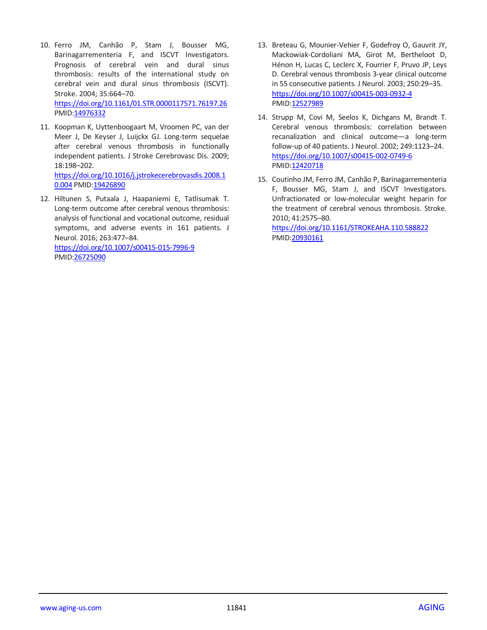- 10. Ferro JM, Canhão P, Stam J, Bousser MG, Barinagarrementeria F, and ISCVT Investigators. Prognosis of cerebral vein and dural sinus thrombosis: results of the international study on cerebral vein and dural sinus thrombosis (ISCVT). Stroke. 2004; 35:664–70. <https://doi.org/10.1161/01.STR.0000117571.76197.26> PMID[:14976332](https://pubmed.ncbi.nlm.nih.gov/14976332)
- 11. Koopman K, Uyttenboogaart M, Vroomen PC, van der Meer J, De Keyser J, Luijckx GJ. Long-term sequelae after cerebral venous thrombosis in functionally independent patients. J Stroke Cerebrovasc Dis. 2009; 18:198–202. [https://doi.org/10.1016/j.jstrokecerebrovasdis.2008.1](https://doi.org/10.1016/j.jstrokecerebrovasdis.2008.10.004)

[0.004](https://doi.org/10.1016/j.jstrokecerebrovasdis.2008.10.004) PMID[:19426890](https://pubmed.ncbi.nlm.nih.gov/19426890)

12. Hiltunen S, Putaala J, Haapaniemi E, Tatlisumak T. Long-term outcome after cerebral venous thrombosis: analysis of functional and vocational outcome, residual symptoms, and adverse events in 161 patients. J Neurol. 2016; 263:477–84. <https://doi.org/10.1007/s00415-015-7996-9> PMID[:26725090](https://pubmed.ncbi.nlm.nih.gov/26725090)

13. Breteau G, Mounier-Vehier F, Godefroy O, Gauvrit JY, Mackowiak-Cordoliani MA, Girot M, Bertheloot D, Hénon H, Lucas C, Leclerc X, Fourrier F, Pruvo JP, Leys D. Cerebral venous thrombosis 3-year clinical outcome in 55 consecutive patients. J Neurol. 2003; 250:29–35. <https://doi.org/10.1007/s00415-003-0932-4> PMI[D:12527989](https://pubmed.ncbi.nlm.nih.gov/12527989)

- 14. Strupp M, Covi M, Seelos K, Dichgans M, Brandt T. Cerebral venous thrombosis: correlation between recanalization and clinical outcome—a long-term follow-up of 40 patients. J Neurol. 2002; 249:1123–24. <https://doi.org/10.1007/s00415-002-0749-6> PMI[D:12420718](https://pubmed.ncbi.nlm.nih.gov/12420718)
- 15. Coutinho JM, Ferro JM, Canhão P, Barinagarrementeria F, Bousser MG, Stam J, and ISCVT Investigators. Unfractionated or low-molecular weight heparin for the treatment of cerebral venous thrombosis. Stroke. 2010; 41:2575–80.

<https://doi.org/10.1161/STROKEAHA.110.588822> PMI[D:20930161](https://pubmed.ncbi.nlm.nih.gov/20930161)